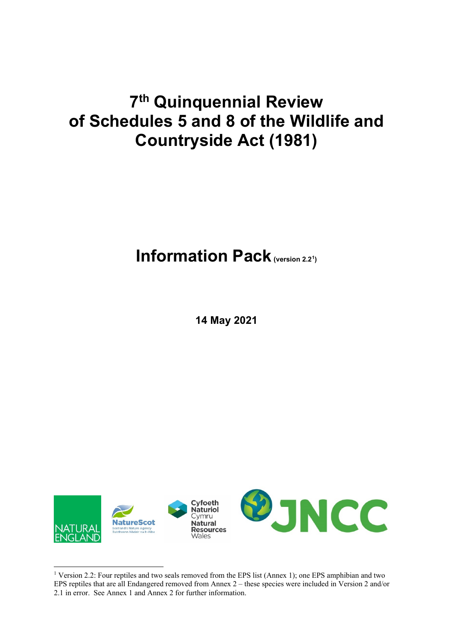# **7th Quinquennial Review of Schedules 5 and 8 of the Wildlife and Countryside Act (1981)**

## **Information Pack (version 2.2<sup>1</sup>)**

**14 May 2021**

<span id="page-0-0"></span>

<sup>&</sup>lt;sup>1</sup> Version 2.2: Four reptiles and two seals removed from the EPS list (Annex 1); one EPS amphibian and two EPS reptiles that are all Endangered removed from Annex 2 – these species were included in Version 2 and/or 2.1 in error. See Annex 1 and Annex 2 for further information.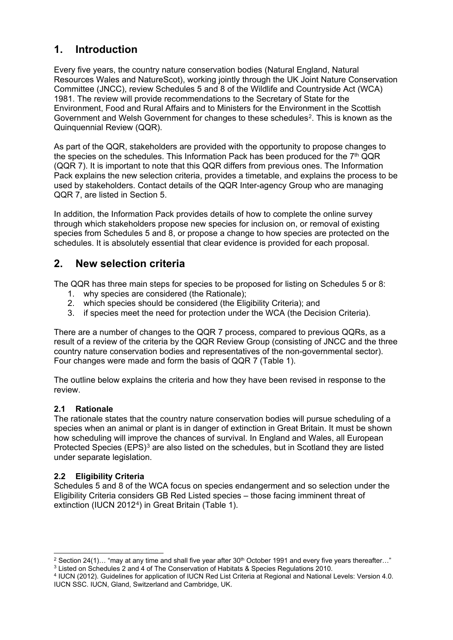### **1. Introduction**

Every five years, the country nature conservation bodies (Natural England, Natural Resources Wales and NatureScot), working jointly through the UK Joint Nature Conservation Committee (JNCC), review Schedules 5 and 8 of the Wildlife and Countryside Act (WCA) 1981. The review will provide recommendations to the Secretary of State for the Environment, Food and Rural Affairs and to Ministers for the Environment in the Scottish Government and Welsh Government for changes to these schedules<sup>2</sup>. This is known as the Quinquennial Review (QQR).

As part of the QQR, stakeholders are provided with the opportunity to propose changes to the species on the schedules. This Information Pack has been produced for the  $7<sup>th</sup> QQR$ (QQR 7). It is important to note that this QQR differs from previous ones. The Information Pack explains the new selection criteria, provides a timetable, and explains the process to be used by stakeholders. Contact details of the QQR Inter-agency Group who are managing QQR 7, are listed in Section 5.

In addition, the Information Pack provides details of how to complete the online survey through which stakeholders propose new species for inclusion on, or removal of existing species from Schedules 5 and 8, or propose a change to how species are protected on the schedules. It is absolutely essential that clear evidence is provided for each proposal.

### **2. New selection criteria**

The QQR has three main steps for species to be proposed for listing on Schedules 5 or 8:

- 1. why species are considered (the Rationale);
- 2. which species should be considered (the Eligibility Criteria); and
- 3. if species meet the need for protection under the WCA (the Decision Criteria).

There are a number of changes to the QQR 7 process, compared to previous QQRs, as a result of a review of the criteria by the QQR Review Group (consisting of JNCC and the three country nature conservation bodies and representatives of the non-governmental sector). Four changes were made and form the basis of QQR 7 (Table 1).

The outline below explains the criteria and how they have been revised in response to the review.

### **2.1 Rationale**

The rationale states that the country nature conservation bodies will pursue scheduling of a species when an animal or plant is in danger of extinction in Great Britain. It must be shown how scheduling will improve the chances of survival. In England and Wales, all European Protected Species (EPS)<sup>[3](#page-1-1)</sup> are also listed on the schedules, but in Scotland they are listed under separate legislation.

### **2.2 Eligibility Criteria**

Schedules 5 and 8 of the WCA focus on species endangerment and so selection under the Eligibility Criteria considers GB Red Listed species – those facing imminent threat of extinction (IUCN 2012<sup>4</sup>) in Great Britain (Table 1).

<span id="page-1-1"></span><span id="page-1-0"></span><sup>&</sup>lt;sup>2</sup> Section 24(1)… "may at any time and shall five year after  $30^{th}$  October 1991 and every five years thereafter…"<br><sup>3</sup> Listed on Schedules 2 and 4 of The Conservation of Habitats & Species Regulations 2010.

<span id="page-1-2"></span><sup>&</sup>lt;sup>4</sup> IUCN (2012). Guidelines for application of IUCN Red List Criteria at Regional and National Levels: Version 4.0. IUCN SSC. IUCN, Gland, Switzerland and Cambridge, UK.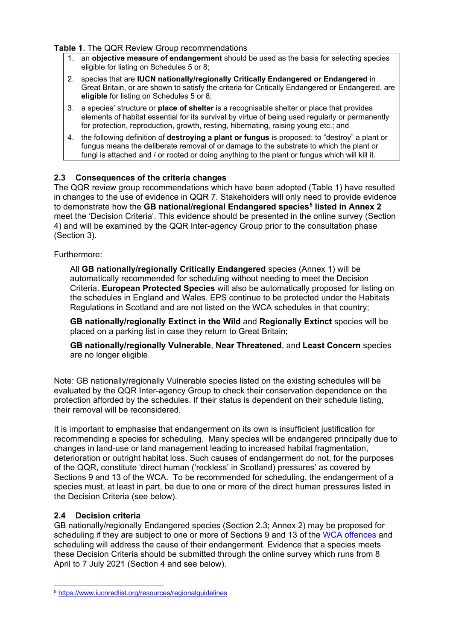#### **Table 1**. The QQR Review Group recommendations

- 1. an **objective measure of endangerment** should be used as the basis for selecting species eligible for listing on Schedules 5 or 8;
- 2. species that are **IUCN nationally/regionally Critically Endangered or Endangered** in Great Britain, or are shown to satisfy the criteria for Critically Endangered or Endangered, are **eligible** for listing on Schedules 5 or 8;
- 3. a species' structure or **place of shelter** is a recognisable shelter or place that provides elements of habitat essential for its survival by virtue of being used regularly or permanently for protection, reproduction, growth, resting, hibernating, raising young etc.; and
- 4. the following definition of **destroying a plant or fungus** is proposed: to "destroy" a plant or fungus means the deliberate removal of or damage to the substrate to which the plant or fungi is attached and / or rooted or doing anything to the plant or fungus which will kill it.

### <span id="page-2-1"></span>**2.3 Consequences of the criteria changes**

The QQR review group recommendations which have been adopted (Table 1) have resulted in changes to the use of evidence in QQR 7. Stakeholders will only need to provide evidence to demonstrate how the **GB national/regional Endangered species[5](#page-2-0) listed in Annex 2** meet the 'Decision Criteria'. This evidence should be presented in the online survey (Section 4) and will be examined by the QQR Inter-agency Group prior to the consultation phase (Section 3).

### Furthermore:

All **GB nationally/regionally Critically Endangered** species (Annex 1) will be automatically recommended for scheduling without needing to meet the Decision Criteria. **European Protected Species** will also be automatically proposed for listing on the schedules in England and Wales. EPS continue to be protected under the Habitats Regulations in Scotland and are not listed on the WCA schedules in that country;

**GB nationally/regionally Extinct in the Wild** and **Regionally Extinct** species will be placed on a parking list in case they return to Great Britain;

**GB nationally/regionally Vulnerable**, **Near Threatened**, and **Least Concern** species are no longer eligible.

Note: GB nationally/regionally Vulnerable species listed on the existing schedules will be evaluated by the QQR Inter-agency Group to check their conservation dependence on the protection afforded by the schedules. If their status is dependent on their schedule listing, their removal will be reconsidered.

It is important to emphasise that endangerment on its own is insufficient justification for recommending a species for scheduling. Many species will be endangered principally due to changes in land-use or land management leading to increased habitat fragmentation, deterioration or outright habitat loss. Such causes of endangerment do not, for the purposes of the QQR, constitute 'direct human ('reckless' in Scotland) pressures' as covered by Sections 9 and 13 of the WCA. To be recommended for scheduling, the endangerment of a species must, at least in part, be due to one or more of the direct human pressures listed in the Decision Criteria (see below).

### **2.4 Decision criteria**

GB nationally/regionally Endangered species (Section 2.3; Annex 2) may be proposed for scheduling if they are subject to one or more of Sections 9 and 13 of the [WCA offences](https://www.legislation.gov.uk/ukpga/1981/69/contents) and scheduling will address the cause of their endangerment. Evidence that a species meets these Decision Criteria should be submitted through the online survey which runs from 8 April to 7 July 2021 (Section 4 and see below).

<span id="page-2-0"></span><sup>5</sup> <https://www.iucnredlist.org/resources/regionalguidelines>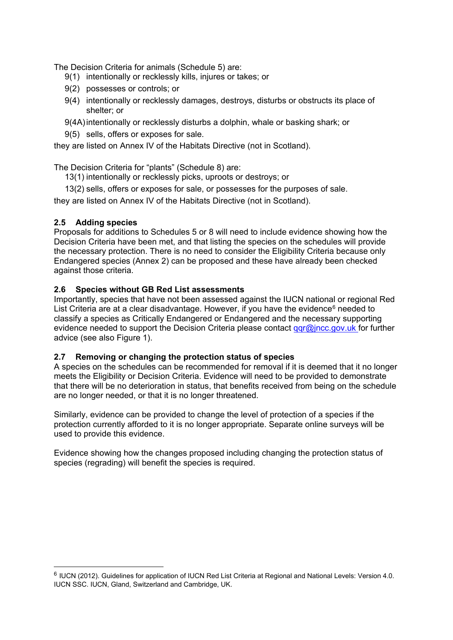The Decision Criteria for animals (Schedule 5) are:

- 9(1) intentionally or recklessly kills, injures or takes; or
- 9(2) possesses or controls; or
- 9(4) intentionally or recklessly damages, destroys, disturbs or obstructs its place of shelter; or
- 9(4A)intentionally or recklessly disturbs a dolphin, whale or basking shark; or
- 9(5) sells, offers or exposes for sale.

they are listed on Annex IV of the Habitats Directive (not in Scotland).

The Decision Criteria for "plants" (Schedule 8) are:

- 13(1) intentionally or recklessly picks, uproots or destroys; or
- 13(2) sells, offers or exposes for sale, or possesses for the purposes of sale.

they are listed on Annex IV of the Habitats Directive (not in Scotland).

### **2.5 Adding species**

Proposals for additions to Schedules 5 or 8 will need to include evidence showing how the Decision Criteria have been met, and that listing the species on the schedules will provide the necessary protection. There is no need to consider the Eligibility Criteria because only Endangered species (Annex 2) can be proposed and these have already been checked against those criteria.

### **2.6 Species without GB Red List assessments**

Importantly, species that have not been assessed against the IUCN national or regional Red List Criteria are at a clear disadvantage. However, if you have the evidence $<sup>6</sup>$  $<sup>6</sup>$  $<sup>6</sup>$  needed to</sup> classify a species as Critically Endangered or Endangered and the necessary supporting evidence needed to support the Decision Criteria please contact  $qqr@incc.qov.uk$  for further advice (see also Figure 1).

#### **2.7 Removing or changing the protection status of species**

A species on the schedules can be recommended for removal if it is deemed that it no longer meets the Eligibility or Decision Criteria. Evidence will need to be provided to demonstrate that there will be no deterioration in status, that benefits received from being on the schedule are no longer needed, or that it is no longer threatened.

Similarly, evidence can be provided to change the level of protection of a species if the protection currently afforded to it is no longer appropriate. Separate online surveys will be used to provide this evidence.

Evidence showing how the changes proposed including changing the protection status of species (regrading) will benefit the species is required.

<span id="page-3-0"></span><sup>6</sup> IUCN (2012). Guidelines for application of IUCN Red List Criteria at Regional and National Levels: Version 4.0. IUCN SSC. IUCN, Gland, Switzerland and Cambridge, UK.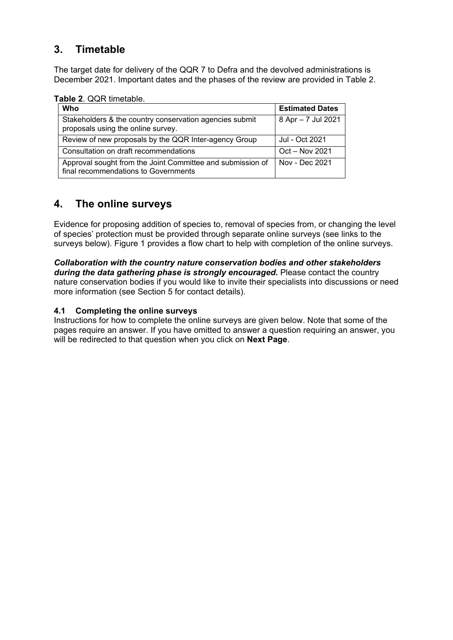### **3. Timetable**

The target date for delivery of the QQR 7 to Defra and the devolved administrations is December 2021. Important dates and the phases of the review are provided in Table 2.

**Table 2**. QQR timetable.

| Who                                                                                                | <b>Estimated Dates</b> |
|----------------------------------------------------------------------------------------------------|------------------------|
| Stakeholders & the country conservation agencies submit<br>proposals using the online survey.      | 8 Apr - 7 Jul 2021     |
| Review of new proposals by the QQR Inter-agency Group                                              | Jul - Oct 2021         |
| Consultation on draft recommendations                                                              | Oct - Nov 2021         |
| Approval sought from the Joint Committee and submission of<br>final recommendations to Governments | Nov - Dec 2021         |

### **4. The online surveys**

Evidence for proposing addition of species to, removal of species from, or changing the level of species' protection must be provided through separate online surveys (see links to the surveys below). Figure 1 provides a flow chart to help with completion of the online surveys.

*Collaboration with the country nature conservation bodies and other stakeholders during the data gathering phase is strongly encouraged.* Please contact the country nature conservation bodies if you would like to invite their specialists into discussions or need more information (see Section 5 for contact details).

### **4.1 Completing the online surveys**

Instructions for how to complete the online surveys are given below. Note that some of the pages require an answer. If you have omitted to answer a question requiring an answer, you will be redirected to that question when you click on **Next Page**.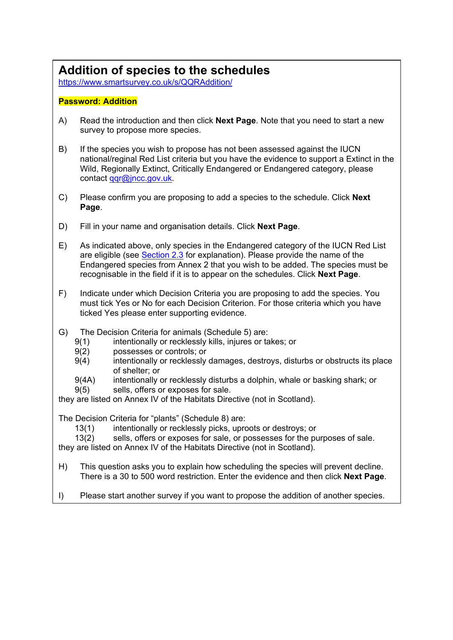## **Addition of species to the schedules**

<https://www.smartsurvey.co.uk/s/QQRAddition/>

### **Password: Addition**

- A) Read the introduction and then click **Next Page**. Note that you need to start a new survey to propose more species.
- B) If the species you wish to propose has not been assessed against the IUCN national/reginal Red List criteria but you have the evidence to support a Extinct in the Wild, Regionally Extinct, Critically Endangered or Endangered category, please contact [qqr@jncc.gov.uk.](mailto:ant.maddock@jncc.gov.uk)
- C) Please confirm you are proposing to add a species to the schedule. Click **Next Page**.
- D) Fill in your name and organisation details. Click **Next Page**.
- E) As indicated above, only species in the Endangered category of the IUCN Red List are eligible (see [Section 2.3](#page-2-1) for explanation). Please provide the name of the Endangered species from Annex 2 that you wish to be added. The species must be recognisable in the field if it is to appear on the schedules. Click **Next Page**.
- F) Indicate under which Decision Criteria you are proposing to add the species. You must tick Yes or No for each Decision Criterion. For those criteria which you have ticked Yes please enter supporting evidence.
- G) The Decision Criteria for animals (Schedule 5) are:
	- 9(1) intentionally or recklessly kills, injures or takes; or
	- 9(2) possesses or controls; or
	- 9(4) intentionally or recklessly damages, destroys, disturbs or obstructs its place of shelter; or
	- 9(4A) intentionally or recklessly disturbs a dolphin, whale or basking shark; or
	- 9(5) sells, offers or exposes for sale.

they are listed on Annex IV of the Habitats Directive (not in Scotland).

The Decision Criteria for "plants" (Schedule 8) are:

13(1) intentionally or recklessly picks, uproots or destroys; or<br>13(2) sells, offers or exposes for sale, or possesses for the pu

sells, offers or exposes for sale, or possesses for the purposes of sale.

they are listed on Annex IV of the Habitats Directive (not in Scotland).

- H) This question asks you to explain how scheduling the species will prevent decline. There is a 30 to 500 word restriction. Enter the evidence and then click **Next Page**.
- I) Please start another survey if you want to propose the addition of another species.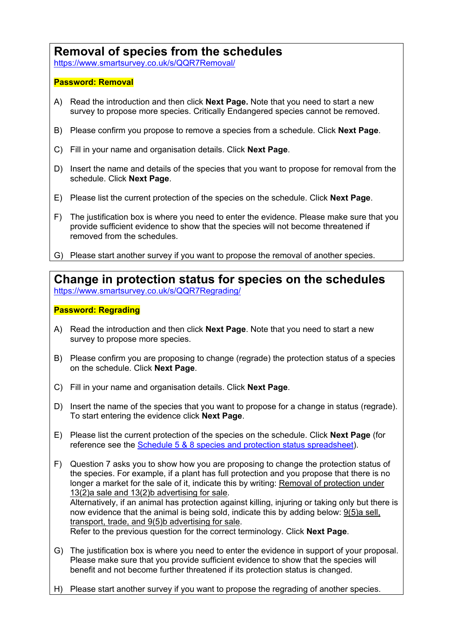### **Removal of species from the schedules**

<https://www.smartsurvey.co.uk/s/QQR7Removal/>

### **Password: Removal**

- A) Read the introduction and then click **Next Page.** Note that you need to start a new survey to propose more species. Critically Endangered species cannot be removed.
- B) Please confirm you propose to remove a species from a schedule. Click **Next Page**.
- C) Fill in your name and organisation details. Click **Next Page**.
- D) Insert the name and details of the species that you want to propose for removal from the schedule. Click **Next Page**.
- E) Please list the current protection of the species on the schedule. Click **Next Page**.
- F) The justification box is where you need to enter the evidence. Please make sure that you provide sufficient evidence to show that the species will not become threatened if removed from the schedules.
- G) Please start another survey if you want to propose the removal of another species.

**Change in protection status for species on the schedules** <https://www.smartsurvey.co.uk/s/QQR7Regrading/>

### **Password: Regrading**

- A) Read the introduction and then click **Next Page**. Note that you need to start a new survey to propose more species.
- B) Please confirm you are proposing to change (regrade) the protection status of a species on the schedule. Click **Next Page**.
- C) Fill in your name and organisation details. Click **Next Page**.
- D) Insert the name of the species that you want to propose for a change in status (regrade). To start entering the evidence click **Next Page**.
- E) Please list the current protection of the species on the schedule. Click **Next Page** (for reference see the [Schedule 5 & 8 species and protection status](https://jncc.gov.uk/media/5395/schedule-5-8-species-and-protection-status.xlsx) spreadsheet).
- F) Question 7 asks you to show how you are proposing to change the protection status of the species. For example, if a plant has full protection and you propose that there is no longer a market for the sale of it, indicate this by writing: Removal of protection under 13(2)a sale and 13(2)b advertising for sale. Alternatively, if an animal has protection against killing, injuring or taking only but there is now evidence that the animal is being sold, indicate this by adding below: 9(5)a sell, transport, trade, and 9(5)b advertising for sale. Refer to the previous question for the correct terminology. Click **Next Page**.
- G) The justification box is where you need to enter the evidence in support of your proposal. Please make sure that you provide sufficient evidence to show that the species will benefit and not become further threatened if its protection status is changed.
- H) Please start another survey if you want to propose the regrading of another species.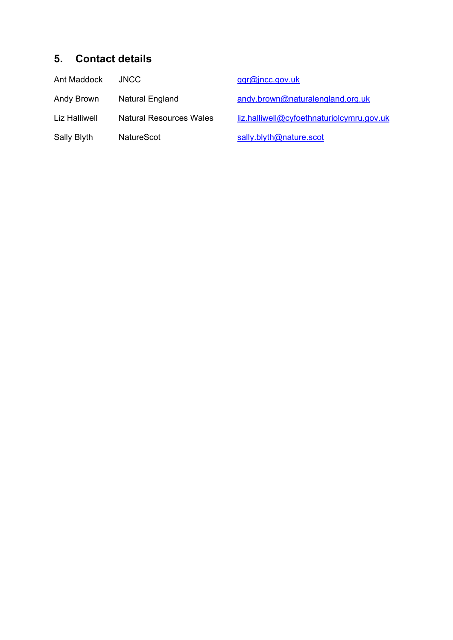### **5. Contact details**

| Ant Maddock   | <b>JNCC</b>           |
|---------------|-----------------------|
| Andy Brown    | Natural England       |
| Liz Halliwell | Natural Resources Wal |
| Sally Blyth   | <b>NatureScot</b>     |

[qqr@jncc.gov.uk](mailto:qqr@jncc.gov.uk)

andy brown@naturalengland.org.uk

les [liz.halliwell@cyfoethnaturiolcymru.gov.uk](mailto:liz.halliwell@cyfoethnaturiolcymru.gov.uk)

[sally.blyth@nature.scot](mailto:sally.blyth@nature.scot)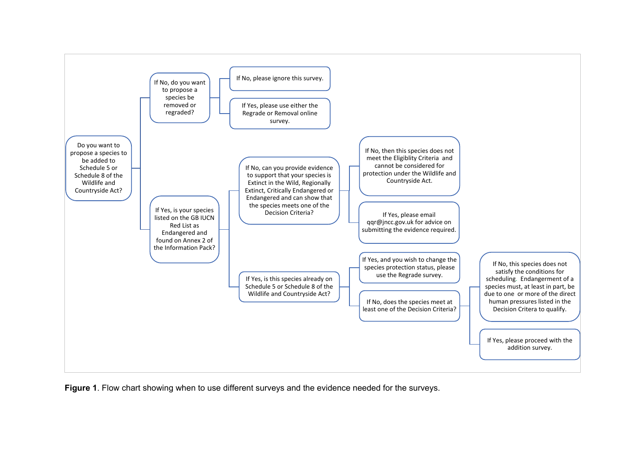

**Figure 1**. Flow chart showing when to use different surveys and the evidence needed for the surveys.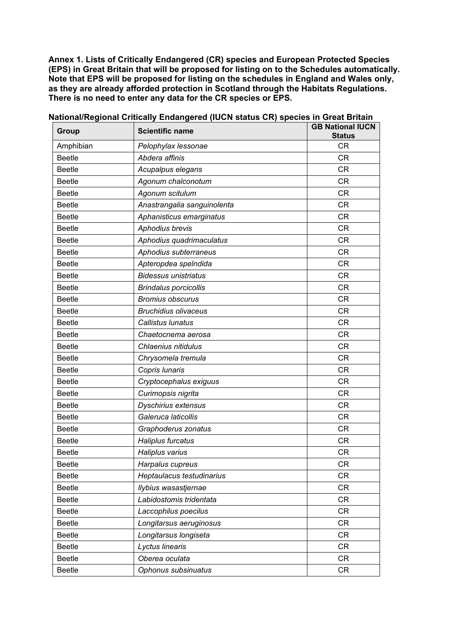**Annex 1. Lists of Critically Endangered (CR) species and European Protected Species (EPS) in Great Britain that will be proposed for listing on to the Schedules automatically. Note that EPS will be proposed for listing on the schedules in England and Wales only, as they are already afforded protection in Scotland through the Habitats Regulations. There is no need to enter any data for the CR species or EPS.**

| Group         | <b>Scientific name</b>       | <b>GB National IUCN</b><br><b>Status</b> |
|---------------|------------------------------|------------------------------------------|
| Amphibian     | Pelophylax lessonae          | CR                                       |
| <b>Beetle</b> | Abdera affinis               | <b>CR</b>                                |
| <b>Beetle</b> | Acupalpus elegans            | <b>CR</b>                                |
| <b>Beetle</b> | Agonum chalconotum           | <b>CR</b>                                |
| <b>Beetle</b> | Agonum scitulum              | <b>CR</b>                                |
| <b>Beetle</b> | Anastrangalia sanguinolenta  | <b>CR</b>                                |
| <b>Beetle</b> | Aphanisticus emarginatus     | <b>CR</b>                                |
| <b>Beetle</b> | Aphodius brevis              | <b>CR</b>                                |
| <b>Beetle</b> | Aphodius quadrimaculatus     | <b>CR</b>                                |
| <b>Beetle</b> | Aphodius subterraneus        | CR                                       |
| <b>Beetle</b> | Apteropdea spelndida         | <b>CR</b>                                |
| <b>Beetle</b> | <b>Bidessus unistriatus</b>  | <b>CR</b>                                |
| <b>Beetle</b> | <b>Brindalus porcicollis</b> | <b>CR</b>                                |
| <b>Beetle</b> | <b>Bromius obscurus</b>      | <b>CR</b>                                |
| <b>Beetle</b> | <b>Bruchidius olivaceus</b>  | <b>CR</b>                                |
| <b>Beetle</b> | Callistus lunatus            | <b>CR</b>                                |
| <b>Beetle</b> | Chaetocnema aerosa           | <b>CR</b>                                |
| <b>Beetle</b> | Chlaenius nitidulus          | <b>CR</b>                                |
| <b>Beetle</b> | Chrysomela tremula           | <b>CR</b>                                |
| <b>Beetle</b> | Copris lunaris               | <b>CR</b>                                |
| <b>Beetle</b> | Cryptocephalus exiguus       | CR                                       |
| <b>Beetle</b> | Curimopsis nigrita           | <b>CR</b>                                |
| <b>Beetle</b> | Dyschirius extensus          | <b>CR</b>                                |
| <b>Beetle</b> | Galeruca laticollis          | <b>CR</b>                                |
| <b>Beetle</b> | Graphoderus zonatus          | <b>CR</b>                                |
| <b>Beetle</b> | Haliplus furcatus            | <b>CR</b>                                |
| Beetle        | Haliplus varius              | <b>CR</b>                                |
| <b>Beetle</b> | Harpalus cupreus             | <b>CR</b>                                |
| <b>Beetle</b> | Heptaulacus testudinarius    | <b>CR</b>                                |
| <b>Beetle</b> | Ilybius wasastjernae         | <b>CR</b>                                |
| <b>Beetle</b> | Labidostomis tridentata      | <b>CR</b>                                |
| <b>Beetle</b> | Laccophilus poecilus         | <b>CR</b>                                |
| <b>Beetle</b> | Longitarsus aeruginosus      | <b>CR</b>                                |
| <b>Beetle</b> | Longitarsus longiseta        | CR                                       |
| <b>Beetle</b> | Lyctus linearis              | CR                                       |
| <b>Beetle</b> | Oberea oculata               | <b>CR</b>                                |
| <b>Beetle</b> | Ophonus subsinuatus          | <b>CR</b>                                |

#### **National/Regional Critically Endangered (IUCN status CR) species in Great Britain**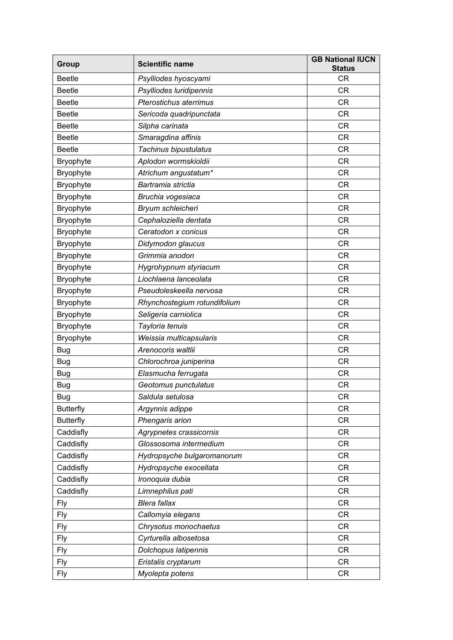| Group            | <b>Scientific name</b>        | <b>GB National IUCN</b><br><b>Status</b> |
|------------------|-------------------------------|------------------------------------------|
| <b>Beetle</b>    | Psylliodes hyoscyami          | <b>CR</b>                                |
| <b>Beetle</b>    | Psylliodes luridipennis       | <b>CR</b>                                |
| <b>Beetle</b>    | <b>Pterostichus aterrimus</b> | <b>CR</b>                                |
| <b>Beetle</b>    | Sericoda quadripunctata       | <b>CR</b>                                |
| <b>Beetle</b>    | Silpha carinata               | <b>CR</b>                                |
| <b>Beetle</b>    | Smaragdina affinis            | <b>CR</b>                                |
| <b>Beetle</b>    | Tachinus bipustulatus         | <b>CR</b>                                |
| <b>Bryophyte</b> | Aplodon wormskioldii          | <b>CR</b>                                |
| Bryophyte        | Atrichum angustatum*          | <b>CR</b>                                |
| Bryophyte        | Bartramia strictia            | <b>CR</b>                                |
| <b>Bryophyte</b> | Bruchia vogesiaca             | <b>CR</b>                                |
| Bryophyte        | Bryum schleicheri             | <b>CR</b>                                |
| Bryophyte        | Cephaloziella dentata         | <b>CR</b>                                |
| Bryophyte        | Ceratodon x conicus           | <b>CR</b>                                |
| Bryophyte        | Didymodon glaucus             | <b>CR</b>                                |
| Bryophyte        | Grimmia anodon                | <b>CR</b>                                |
| Bryophyte        | Hygrohypnum styriacum         | <b>CR</b>                                |
| Bryophyte        | Liochlaena lanceolata         | <b>CR</b>                                |
| Bryophyte        | Pseudoleskeella nervosa       | <b>CR</b>                                |
| <b>Bryophyte</b> | Rhynchostegium rotundifolium  | <b>CR</b>                                |
| Bryophyte        | Seligeria carniolica          | <b>CR</b>                                |
| Bryophyte        | Tayloria tenuis               | <b>CR</b>                                |
| Bryophyte        | Weissia multicapsularis       | <b>CR</b>                                |
| <b>Bug</b>       | Arenocoris waltlii            | <b>CR</b>                                |
| <b>Bug</b>       | Chlorochroa juniperina        | <b>CR</b>                                |
| <b>Bug</b>       | Elasmucha ferrugata           | <b>CR</b>                                |
| Bug              | Geotomus punctulatus          | <b>CR</b>                                |
| <b>Bug</b>       | Saldula setulosa              | <b>CR</b>                                |
| <b>Butterfly</b> | Argynnis adippe               | <b>CR</b>                                |
| <b>Butterfly</b> | Phengaris arion               | <b>CR</b>                                |
| Caddisfly        | Agrypnetes crassicornis       | <b>CR</b>                                |
| Caddisfly        | Glossosoma intermedium        | <b>CR</b>                                |
| Caddisfly        | Hydropsyche bulgaromanorum    | <b>CR</b>                                |
| Caddisfly        | Hydropsyche exocellata        | <b>CR</b>                                |
| Caddisfly        | Ironoquia dubia               | <b>CR</b>                                |
| Caddisfly        | Limnephilus pati              | <b>CR</b>                                |
| <b>Fly</b>       | <b>Blera fallax</b>           | <b>CR</b>                                |
| <b>Fly</b>       | Callomyia elegans             | <b>CR</b>                                |
| <b>Fly</b>       | Chrysotus monochaetus         | <b>CR</b>                                |
| <b>Fly</b>       | Cyrturella albosetosa         | <b>CR</b>                                |
| <b>Fly</b>       | Dolchopus latipennis          | <b>CR</b>                                |
| <b>Fly</b>       | Eristalis cryptarum           | <b>CR</b>                                |
| <b>Fly</b>       | Myolepta potens               | CR                                       |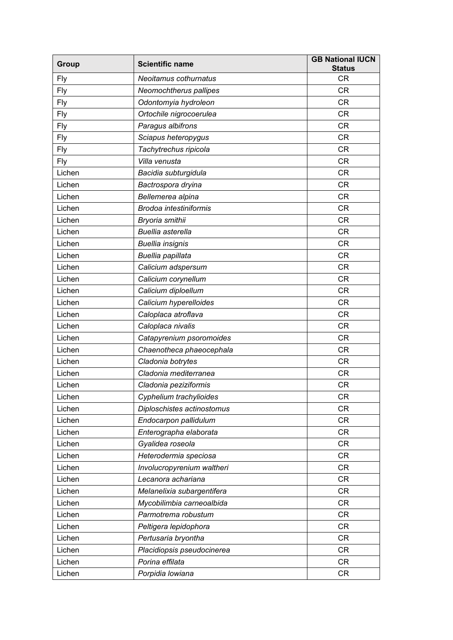| <b>Group</b> | <b>Scientific name</b>        | <b>GB National IUCN</b><br><b>Status</b> |
|--------------|-------------------------------|------------------------------------------|
| Fly          | Neoitamus cothurnatus         | <b>CR</b>                                |
| Fly          | Neomochtherus pallipes        | <b>CR</b>                                |
| <b>Fly</b>   | Odontomyia hydroleon          | <b>CR</b>                                |
| <b>Fly</b>   | Ortochile nigrocoerulea       | <b>CR</b>                                |
| <b>Fly</b>   | Paragus albifrons             | <b>CR</b>                                |
| Fly          | Sciapus heteropygus           | <b>CR</b>                                |
| <b>Fly</b>   | Tachytrechus ripicola         | <b>CR</b>                                |
| <b>Fly</b>   | Villa venusta                 | <b>CR</b>                                |
| Lichen       | Bacidia subturgidula          | <b>CR</b>                                |
| Lichen       | Bactrospora dryina            | <b>CR</b>                                |
| Lichen       | Bellemerea alpina             | <b>CR</b>                                |
| Lichen       | <b>Brodoa intestiniformis</b> | <b>CR</b>                                |
| Lichen       | Bryoria smithii               | <b>CR</b>                                |
| Lichen       | <b>Buellia</b> asterella      | <b>CR</b>                                |
| Lichen       | <b>Buellia insignis</b>       | <b>CR</b>                                |
| Lichen       | Buellia papillata             | <b>CR</b>                                |
| Lichen       | Calicium adspersum            | <b>CR</b>                                |
| Lichen       | Calicium corynellum           | <b>CR</b>                                |
| Lichen       | Calicium diploellum           | <b>CR</b>                                |
| Lichen       | Calicium hyperelloides        | <b>CR</b>                                |
| Lichen       | Caloplaca atroflava           | <b>CR</b>                                |
| Lichen       | Caloplaca nivalis             | <b>CR</b>                                |
| Lichen       | Catapyrenium psoromoides      | <b>CR</b>                                |
| Lichen       | Chaenotheca phaeocephala      | <b>CR</b>                                |
| Lichen       | Cladonia botrytes             | <b>CR</b>                                |
| Lichen       | Cladonia mediterranea         | <b>CR</b>                                |
| Lichen       | Cladonia peziziformis         | <b>CR</b>                                |
| Lichen       | Cyphelium trachylioides       | CR                                       |
| Lichen       | Diploschistes actinostomus    | <b>CR</b>                                |
| Lichen       | Endocarpon pallidulum         | <b>CR</b>                                |
| Lichen       | Enterographa elaborata        | <b>CR</b>                                |
| Lichen       | Gyalidea roseola              | <b>CR</b>                                |
| Lichen       | Heterodermia speciosa         | <b>CR</b>                                |
| Lichen       | Involucropyrenium waltheri    | <b>CR</b>                                |
| Lichen       | Lecanora achariana            | <b>CR</b>                                |
| Lichen       | Melanelixia subargentifera    | <b>CR</b>                                |
| Lichen       | Mycobilimbia carneoalbida     | <b>CR</b>                                |
| Lichen       | Parmotrema robustum           | <b>CR</b>                                |
| Lichen       | Peltigera lepidophora         | <b>CR</b>                                |
| Lichen       | Pertusaria bryontha           | <b>CR</b>                                |
| Lichen       | Placidiopsis pseudocinerea    | <b>CR</b>                                |
| Lichen       | Porina effilata               | <b>CR</b>                                |
| Lichen       | Porpidia lowiana              | <b>CR</b>                                |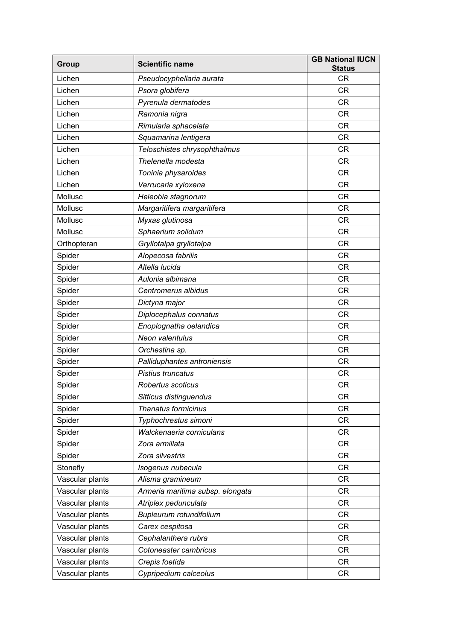| <b>Group</b>    | <b>Scientific name</b>           | <b>GB National IUCN</b><br><b>Status</b> |
|-----------------|----------------------------------|------------------------------------------|
| Lichen          | Pseudocyphellaria aurata         | <b>CR</b>                                |
| Lichen          | Psora globifera                  | <b>CR</b>                                |
| Lichen          | Pyrenula dermatodes              | <b>CR</b>                                |
| Lichen          | Ramonia nigra                    | <b>CR</b>                                |
| Lichen          | Rimularia sphacelata             | <b>CR</b>                                |
| Lichen          | Squamarina lentigera             | <b>CR</b>                                |
| Lichen          | Teloschistes chrysophthalmus     | <b>CR</b>                                |
| Lichen          | Thelenella modesta               | <b>CR</b>                                |
| Lichen          | Toninia physaroides              | <b>CR</b>                                |
| Lichen          | Verrucaria xyloxena              | <b>CR</b>                                |
| Mollusc         | Heleobia stagnorum               | <b>CR</b>                                |
| Mollusc         | Margaritifera margaritifera      | <b>CR</b>                                |
| Mollusc         | Myxas glutinosa                  | <b>CR</b>                                |
| Mollusc         | Sphaerium solidum                | <b>CR</b>                                |
| Orthopteran     | Gryllotalpa gryllotalpa          | <b>CR</b>                                |
| Spider          | Alopecosa fabrilis               | CR                                       |
| Spider          | Altella lucida                   | <b>CR</b>                                |
| Spider          | Aulonia albimana                 | <b>CR</b>                                |
| Spider          | Centromerus albidus              | <b>CR</b>                                |
| Spider          | Dictyna major                    | <b>CR</b>                                |
| Spider          | Diplocephalus connatus           | <b>CR</b>                                |
| Spider          | Enoplognatha oelandica           | <b>CR</b>                                |
| Spider          | Neon valentulus                  | <b>CR</b>                                |
| Spider          | Orchestina sp.                   | <b>CR</b>                                |
| Spider          | Palliduphantes antroniensis      | <b>CR</b>                                |
| Spider          | Pistius truncatus                | <b>CR</b>                                |
| Spider          | Robertus scoticus                | <b>CR</b>                                |
| Spider          | Sitticus distinguendus           | CR                                       |
| Spider          | Thanatus formicinus              | <b>CR</b>                                |
| Spider          | Typhochrestus simoni             | <b>CR</b>                                |
| Spider          | Walckenaeria corniculans         | <b>CR</b>                                |
| Spider          | Zora armillata                   | <b>CR</b>                                |
| Spider          | Zora silvestris                  | <b>CR</b>                                |
| Stonefly        | Isogenus nubecula                | <b>CR</b>                                |
| Vascular plants | Alisma gramineum                 | CR.                                      |
| Vascular plants | Armeria maritima subsp. elongata | <b>CR</b>                                |
| Vascular plants | Atriplex pedunculata             | <b>CR</b>                                |
| Vascular plants | Bupleurum rotundifolium          | CR                                       |
| Vascular plants | Carex cespitosa                  | <b>CR</b>                                |
| Vascular plants | Cephalanthera rubra              | <b>CR</b>                                |
| Vascular plants | Cotoneaster cambricus            | <b>CR</b>                                |
| Vascular plants | Crepis foetida                   | <b>CR</b>                                |
| Vascular plants | Cypripedium calceolus            | <b>CR</b>                                |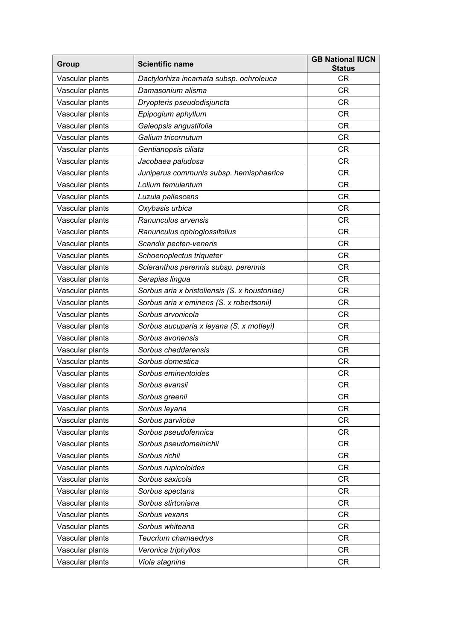| Group           | <b>Scientific name</b>                        | <b>GB National IUCN</b><br><b>Status</b> |
|-----------------|-----------------------------------------------|------------------------------------------|
| Vascular plants | Dactylorhiza incarnata subsp. ochroleuca      | <b>CR</b>                                |
| Vascular plants | Damasonium alisma                             | <b>CR</b>                                |
| Vascular plants | Dryopteris pseudodisjuncta                    | <b>CR</b>                                |
| Vascular plants | Epipogium aphyllum                            | <b>CR</b>                                |
| Vascular plants | Galeopsis angustifolia                        | <b>CR</b>                                |
| Vascular plants | Galium tricornutum                            | <b>CR</b>                                |
| Vascular plants | Gentianopsis ciliata                          | <b>CR</b>                                |
| Vascular plants | Jacobaea paludosa                             | <b>CR</b>                                |
| Vascular plants | Juniperus communis subsp. hemisphaerica       | <b>CR</b>                                |
| Vascular plants | Lolium temulentum                             | <b>CR</b>                                |
| Vascular plants | Luzula pallescens                             | <b>CR</b>                                |
| Vascular plants | Oxybasis urbica                               | <b>CR</b>                                |
| Vascular plants | Ranunculus arvensis                           | <b>CR</b>                                |
| Vascular plants | Ranunculus ophioglossifolius                  | <b>CR</b>                                |
| Vascular plants | Scandix pecten-veneris                        | <b>CR</b>                                |
| Vascular plants | Schoenoplectus triqueter                      | <b>CR</b>                                |
| Vascular plants | Scleranthus perennis subsp. perennis          | <b>CR</b>                                |
| Vascular plants | Serapias lingua                               | <b>CR</b>                                |
| Vascular plants | Sorbus aria x bristoliensis (S. x houstoniae) | <b>CR</b>                                |
| Vascular plants | Sorbus aria x eminens (S. x robertsonii)      | <b>CR</b>                                |
| Vascular plants | Sorbus arvonicola                             | <b>CR</b>                                |
| Vascular plants | Sorbus aucuparia x leyana (S. x motleyi)      | <b>CR</b>                                |
| Vascular plants | Sorbus avonensis                              | <b>CR</b>                                |
| Vascular plants | Sorbus cheddarensis                           | <b>CR</b>                                |
| Vascular plants | Sorbus domestica                              | <b>CR</b>                                |
| Vascular plants | Sorbus eminentoides                           | <b>CR</b>                                |
| Vascular plants | Sorbus evansii                                | <b>CR</b>                                |
| Vascular plants | Sorbus greenii                                | <b>CR</b>                                |
| Vascular plants | Sorbus leyana                                 | <b>CR</b>                                |
| Vascular plants | Sorbus parviloba                              | <b>CR</b>                                |
| Vascular plants | Sorbus pseudofennica                          | <b>CR</b>                                |
| Vascular plants | Sorbus pseudomeinichii                        | <b>CR</b>                                |
| Vascular plants | Sorbus richii                                 | CR.                                      |
| Vascular plants | Sorbus rupicoloides                           | <b>CR</b>                                |
| Vascular plants | Sorbus saxicola                               | <b>CR</b>                                |
| Vascular plants | Sorbus spectans                               | <b>CR</b>                                |
| Vascular plants | Sorbus stirtoniana                            | <b>CR</b>                                |
| Vascular plants | Sorbus vexans                                 | <b>CR</b>                                |
| Vascular plants | Sorbus whiteana                               | <b>CR</b>                                |
| Vascular plants | Teucrium chamaedrys                           | <b>CR</b>                                |
| Vascular plants | Veronica triphyllos                           | <b>CR</b>                                |
| Vascular plants | Viola stagnina                                | CR                                       |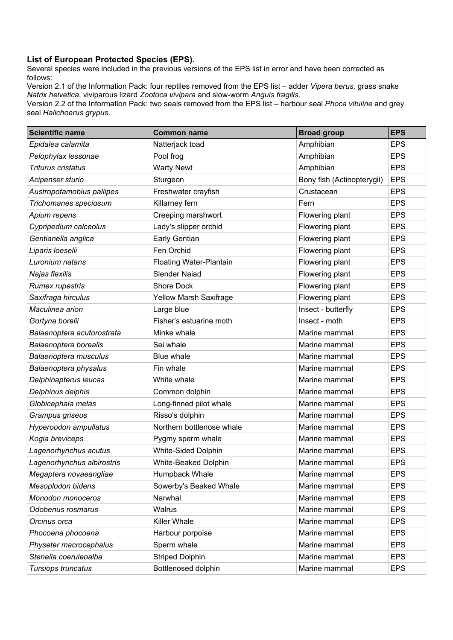#### **List of European Protected Species (EPS).**

Several species were included in the previous versions of the EPS list in error and have been corrected as follows:

Version 2.1 of the Information Pack: four reptiles removed from the EPS list – adder *Vipera berus,* grass snake *Natrix helvetica*, viviparous lizard *Zootoca vivipara* and slow-worm *Anguis fragilis*.

Version 2.2 of the Information Pack: two seals removed from the EPS list – harbour seal *Phoca vituline* and grey seal *Halichoerus grypus*.

| <b>Scientific name</b>     | <b>Common name</b>             | <b>Broad group</b>         | <b>EPS</b> |
|----------------------------|--------------------------------|----------------------------|------------|
| Epidalea calamita          | Natterjack toad                | Amphibian                  | <b>EPS</b> |
| Pelophylax lessonae        | Pool frog                      | Amphibian                  | <b>EPS</b> |
| Triturus cristatus         | <b>Warty Newt</b>              | Amphibian                  | <b>EPS</b> |
| Acipenser sturio           | Sturgeon                       | Bony fish (Actinopterygii) | <b>EPS</b> |
| Austropotamobius pallipes  | Freshwater crayfish            | Crustacean                 | <b>EPS</b> |
| Trichomanes speciosum      | Killarney fern                 | Fern                       | <b>EPS</b> |
| Apium repens               | Creeping marshwort             | Flowering plant            | <b>EPS</b> |
| Cypripedium calceolus      | Lady's slipper orchid          | Flowering plant            | <b>EPS</b> |
| Gentianella anglica        | Early Gentian                  | Flowering plant            | <b>EPS</b> |
| Liparis loeselii           | Fen Orchid                     | Flowering plant            | <b>EPS</b> |
| Luronium natans            | <b>Floating Water-Plantain</b> | Flowering plant            | <b>EPS</b> |
| Najas flexilis             | <b>Slender Naiad</b>           | Flowering plant            | <b>EPS</b> |
| <b>Rumex rupestris</b>     | Shore Dock                     | Flowering plant            | <b>EPS</b> |
| Saxifraga hirculus         | Yellow Marsh Saxifrage         | Flowering plant            | <b>EPS</b> |
| Maculinea arion            | Large blue                     | Insect - butterfly         | <b>EPS</b> |
| Gortyna borelii            | Fisher's estuarine moth        | Insect - moth              | <b>EPS</b> |
| Balaenoptera acutorostrata | Minke whale                    | Marine mammal              | <b>EPS</b> |
| Balaenoptera borealis      | Sei whale                      | Marine mammal              | <b>EPS</b> |
| Balaenoptera musculus      | <b>Blue whale</b>              | Marine mammal              | <b>EPS</b> |
| Balaenoptera physalus      | Fin whale                      | Marine mammal              | <b>EPS</b> |
| Delphinapterus leucas      | White whale                    | Marine mammal              | <b>EPS</b> |
| Delphinus delphis          | Common dolphin                 | Marine mammal              | <b>EPS</b> |
| Globicephala melas         | Long-finned pilot whale        | Marine mammal              | <b>EPS</b> |
| Grampus griseus            | Risso's dolphin                | Marine mammal              | <b>EPS</b> |
| Hyperoodon ampullatus      | Northern bottlenose whale      | Marine mammal              | <b>EPS</b> |
| Kogia breviceps            | Pygmy sperm whale              | Marine mammal              | <b>EPS</b> |
| Lagenorhynchus acutus      | <b>White-Sided Dolphin</b>     | Marine mammal              | <b>EPS</b> |
| Lagenorhynchus albirostris | White-Beaked Dolphin           | Marine mammal              | <b>EPS</b> |
| Megaptera novaeangliae     | Humpback Whale                 | Marine mammal              | <b>EPS</b> |
| Mesoplodon bidens          | Sowerby's Beaked Whale         | Marine mammal              | <b>EPS</b> |
| Monodon monoceros          | Narwhal                        | Marine mammal              | <b>EPS</b> |
| Odobenus rosmarus          | Walrus                         | Marine mammal              | <b>EPS</b> |
| Orcinus orca               | Killer Whale                   | Marine mammal              | <b>EPS</b> |
| Phocoena phocoena          | Harbour porpoise               | Marine mammal              | <b>EPS</b> |
| Physeter macrocephalus     | Sperm whale                    | Marine mammal              | <b>EPS</b> |
| Stenella coeruleoalba      | <b>Striped Dolphin</b>         | Marine mammal              | <b>EPS</b> |
| Tursiops truncatus         | Bottlenosed dolphin            | Marine mammal              | <b>EPS</b> |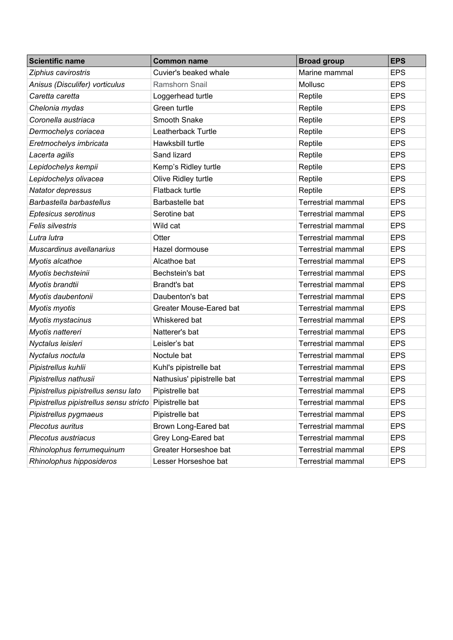| <b>Scientific name</b>                  | <b>Common name</b>         | <b>Broad group</b>        | <b>EPS</b> |
|-----------------------------------------|----------------------------|---------------------------|------------|
| Ziphius cavirostris                     | Cuvier's beaked whale      | Marine mammal             | <b>EPS</b> |
| Anisus (Disculifer) vorticulus          | <b>Ramshorn Snail</b>      | Mollusc                   | <b>EPS</b> |
| Caretta caretta                         | Loggerhead turtle          | Reptile                   | <b>EPS</b> |
| Chelonia mydas                          | Green turtle               | Reptile                   | <b>EPS</b> |
| Coronella austriaca                     | Smooth Snake               | Reptile                   | <b>EPS</b> |
| Dermochelys coriacea                    | Leatherback Turtle         | Reptile                   | <b>EPS</b> |
| Eretmochelys imbricata                  | Hawksbill turtle           | Reptile                   | <b>EPS</b> |
| Lacerta agilis                          | Sand lizard                | Reptile                   | <b>EPS</b> |
| Lepidochelys kempii                     | Kemp's Ridley turtle       | Reptile                   | <b>EPS</b> |
| Lepidochelys olivacea                   | Olive Ridley turtle        | Reptile                   | <b>EPS</b> |
| Natator depressus                       | Flatback turtle            | Reptile                   | <b>EPS</b> |
| Barbastella barbastellus                | Barbastelle bat            | <b>Terrestrial mammal</b> | <b>EPS</b> |
| Eptesicus serotinus                     | Serotine bat               | <b>Terrestrial mammal</b> | <b>EPS</b> |
| <b>Felis silvestris</b>                 | Wild cat                   | <b>Terrestrial mammal</b> | <b>EPS</b> |
| Lutra lutra                             | Otter                      | <b>Terrestrial mammal</b> | <b>EPS</b> |
| Muscardinus avellanarius                | Hazel dormouse             | <b>Terrestrial mammal</b> | <b>EPS</b> |
| Myotis alcathoe                         | Alcathoe bat               | <b>Terrestrial mammal</b> | <b>EPS</b> |
| Myotis bechsteinii                      | Bechstein's bat            | <b>Terrestrial mammal</b> | <b>EPS</b> |
| Myotis brandtii                         | Brandt's bat               | <b>Terrestrial mammal</b> | <b>EPS</b> |
| Myotis daubentonii                      | Daubenton's bat            | <b>Terrestrial mammal</b> | <b>EPS</b> |
| Myotis myotis                           | Greater Mouse-Eared bat    | <b>Terrestrial mammal</b> | <b>EPS</b> |
| Myotis mystacinus                       | Whiskered bat              | <b>Terrestrial mammal</b> | <b>EPS</b> |
| Myotis nattereri                        | Natterer's bat             | <b>Terrestrial mammal</b> | <b>EPS</b> |
| Nyctalus leisleri                       | Leisler's bat              | <b>Terrestrial mammal</b> | <b>EPS</b> |
| Nyctalus noctula                        | Noctule bat                | <b>Terrestrial mammal</b> | <b>EPS</b> |
| Pipistrellus kuhlii                     | Kuhl's pipistrelle bat     | <b>Terrestrial mammal</b> | <b>EPS</b> |
| Pipistrellus nathusii                   | Nathusius' pipistrelle bat | <b>Terrestrial mammal</b> | <b>EPS</b> |
| Pipistrellus pipistrellus sensu lato    | Pipistrelle bat            | <b>Terrestrial mammal</b> | <b>EPS</b> |
| Pipistrellus pipistrellus sensu stricto | Pipistrelle bat            | <b>Terrestrial mammal</b> | <b>EPS</b> |
| Pipistrellus pygmaeus                   | Pipistrelle bat            | <b>Terrestrial mammal</b> | <b>EPS</b> |
| Plecotus auritus                        | Brown Long-Eared bat       | Terrestrial mammal        | <b>EPS</b> |
| Plecotus austriacus                     | Grey Long-Eared bat        | <b>Terrestrial mammal</b> | <b>EPS</b> |
| Rhinolophus ferrumequinum               | Greater Horseshoe bat      | Terrestrial mammal        | <b>EPS</b> |
| Rhinolophus hipposideros                | Lesser Horseshoe bat       | <b>Terrestrial mammal</b> | <b>EPS</b> |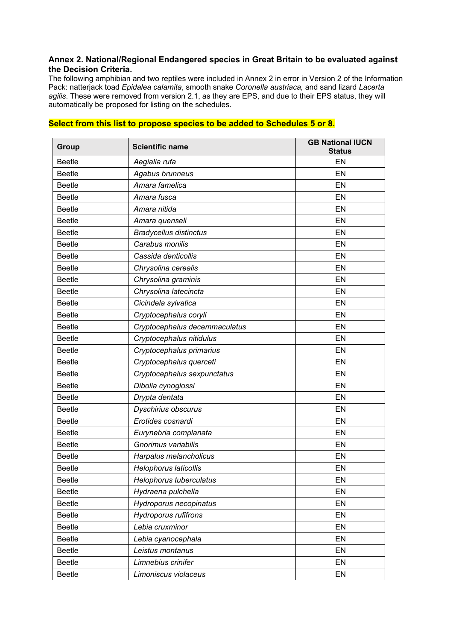#### **Annex 2. National/Regional Endangered species in Great Britain to be evaluated against the Decision Criteria.**

The following amphibian and two reptiles were included in Annex 2 in error in Version 2 of the Information Pack: natterjack toad *Epidalea calamita*, smooth snake *Coronella austriaca,* and sand lizard *Lacerta agilis*. These were removed from version 2.1, as they are EPS, and due to their EPS status, they will automatically be proposed for listing on the schedules.

| <b>Group</b>  | <b>Scientific name</b>        | <b>GB National IUCN</b><br><b>Status</b> |
|---------------|-------------------------------|------------------------------------------|
| <b>Beetle</b> | Aegialia rufa                 | EN                                       |
| <b>Beetle</b> | Agabus brunneus               | EN                                       |
| <b>Beetle</b> | Amara famelica                | EN                                       |
| <b>Beetle</b> | Amara fusca                   | EN                                       |
| <b>Beetle</b> | Amara nitida                  | EN                                       |
| <b>Beetle</b> | Amara quenseli                | EN                                       |
| <b>Beetle</b> | <b>Bradycellus distinctus</b> | EN                                       |
| <b>Beetle</b> | Carabus monilis               | EN                                       |
| <b>Beetle</b> | Cassida denticollis           | EN                                       |
| <b>Beetle</b> | Chrysolina cerealis           | EN                                       |
| <b>Beetle</b> | Chrysolina graminis           | EN                                       |
| <b>Beetle</b> | Chrysolina latecincta         | EN                                       |
| <b>Beetle</b> | Cicindela sylvatica           | EN                                       |
| <b>Beetle</b> | Cryptocephalus coryli         | EN                                       |
| <b>Beetle</b> | Cryptocephalus decemmaculatus | EN                                       |
| <b>Beetle</b> | Cryptocephalus nitidulus      | EN                                       |
| <b>Beetle</b> | Cryptocephalus primarius      | EN                                       |
| <b>Beetle</b> | Cryptocephalus querceti       | EN                                       |
| <b>Beetle</b> | Cryptocephalus sexpunctatus   | EN                                       |
| <b>Beetle</b> | Dibolia cynoglossi            | EN                                       |
| <b>Beetle</b> | Drypta dentata                | EN                                       |
| <b>Beetle</b> | Dyschirius obscurus           | EN                                       |
| <b>Beetle</b> | Erotides cosnardi             | EN                                       |
| <b>Beetle</b> | Eurynebria complanata         | EN                                       |
| <b>Beetle</b> | Gnorimus variabilis           | EN                                       |
| <b>Beetle</b> | Harpalus melancholicus        | EN                                       |
| <b>Beetle</b> | <b>Helophorus laticollis</b>  | EN                                       |
| <b>Beetle</b> | Helophorus tuberculatus       | EN                                       |
| <b>Beetle</b> | Hydraena pulchella            | EN                                       |
| <b>Beetle</b> | Hydroporus necopinatus        | EN                                       |
| <b>Beetle</b> | <b>Hydroporus rufifrons</b>   | EN                                       |
| <b>Beetle</b> | Lebia cruxminor               | EN                                       |
| <b>Beetle</b> | Lebia cyanocephala            | EN                                       |
| <b>Beetle</b> | Leistus montanus              | EN                                       |
| <b>Beetle</b> | Limnebius crinifer            | EN                                       |
| <b>Beetle</b> | Limoniscus violaceus          | EN                                       |

#### **Select from this list to propose species to be added to Schedules 5 or 8.**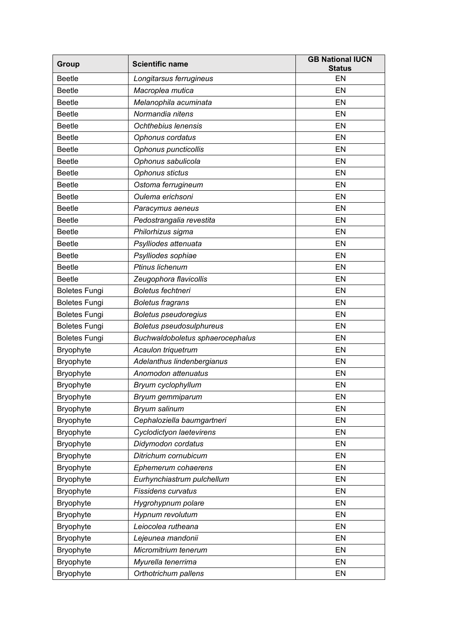| Group                | <b>Scientific name</b>           | <b>GB National IUCN</b><br><b>Status</b> |
|----------------------|----------------------------------|------------------------------------------|
| <b>Beetle</b>        | Longitarsus ferrugineus          | EN                                       |
| <b>Beetle</b>        | Macroplea mutica                 | EN                                       |
| <b>Beetle</b>        | Melanophila acuminata            | EN                                       |
| <b>Beetle</b>        | Normandia nitens                 | EN                                       |
| <b>Beetle</b>        | Ochthebius lenensis              | EN                                       |
| <b>Beetle</b>        | Ophonus cordatus                 | EN                                       |
| <b>Beetle</b>        | Ophonus puncticollis             | EN                                       |
| <b>Beetle</b>        | Ophonus sabulicola               | EN                                       |
| <b>Beetle</b>        | Ophonus stictus                  | EN                                       |
| <b>Beetle</b>        | Ostoma ferrugineum               | EN                                       |
| <b>Beetle</b>        | Oulema erichsoni                 | EN                                       |
| <b>Beetle</b>        | Paracymus aeneus                 | EN                                       |
| <b>Beetle</b>        | Pedostrangalia revestita         | EN                                       |
| <b>Beetle</b>        | Philorhizus sigma                | EN                                       |
| <b>Beetle</b>        | Psylliodes attenuata             | EN                                       |
| <b>Beetle</b>        | Psylliodes sophiae               | EN                                       |
| <b>Beetle</b>        | Ptinus lichenum                  | EN                                       |
| <b>Beetle</b>        | Zeugophora flavicollis           | EN                                       |
| <b>Boletes Fungi</b> | Boletus fechtneri                | EN                                       |
| <b>Boletes Fungi</b> | <b>Boletus fragrans</b>          | EN                                       |
| <b>Boletes Fungi</b> | <b>Boletus pseudoregius</b>      | EN                                       |
| <b>Boletes Fungi</b> | Boletus pseudosulphureus         | EN                                       |
| <b>Boletes Fungi</b> | Buchwaldoboletus sphaerocephalus | EN                                       |
| Bryophyte            | Acaulon triquetrum               | EN                                       |
| Bryophyte            | Adelanthus lindenbergianus       | EN                                       |
| Bryophyte            | Anomodon attenuatus              | EN                                       |
| Bryophyte            | Bryum cyclophyllum               | EN                                       |
| Bryophyte            | Bryum gemmiparum                 | EN                                       |
| Bryophyte            | Bryum salinum                    | EN                                       |
| <b>Bryophyte</b>     | Cephaloziella baumgartneri       | EN                                       |
| Bryophyte            | Cyclodictyon laetevirens         | EN                                       |
| <b>Bryophyte</b>     | Didymodon cordatus               | EN                                       |
| Bryophyte            | Ditrichum cornubicum             | EN                                       |
| Bryophyte            | Ephemerum cohaerens              | EN                                       |
| <b>Bryophyte</b>     | Eurhynchiastrum pulchellum       | EN                                       |
| <b>Bryophyte</b>     | <b>Fissidens curvatus</b>        | EN                                       |
| <b>Bryophyte</b>     | Hygrohypnum polare               | EN                                       |
| <b>Bryophyte</b>     | Hypnum revolutum                 | EN                                       |
| <b>Bryophyte</b>     | Leiocolea rutheana               | EN                                       |
| <b>Bryophyte</b>     | Lejeunea mandonii                | EN                                       |
| Bryophyte            | Micromitrium tenerum             | EN                                       |
| <b>Bryophyte</b>     | Myurella tenerrima               | EN                                       |
| <b>Bryophyte</b>     | Orthotrichum pallens             | EN                                       |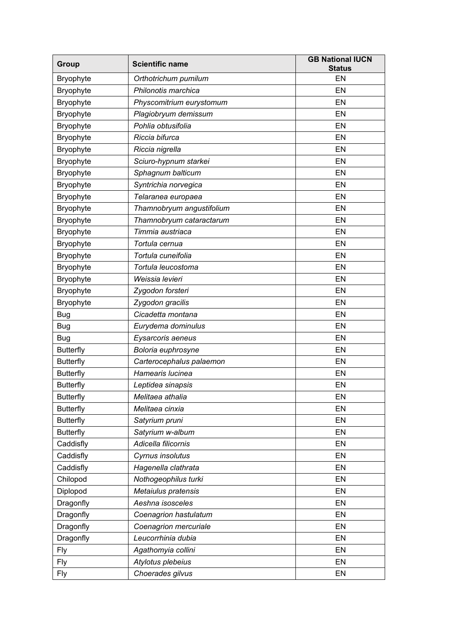| Group            | <b>Scientific name</b>    | <b>GB National IUCN</b><br><b>Status</b> |
|------------------|---------------------------|------------------------------------------|
| <b>Bryophyte</b> | Orthotrichum pumilum      | EN                                       |
| Bryophyte        | Philonotis marchica       | EN                                       |
| Bryophyte        | Physcomitrium eurystomum  | EN                                       |
| Bryophyte        | Plagiobryum demissum      | EN                                       |
| Bryophyte        | Pohlia obtusifolia        | EN                                       |
| Bryophyte        | Riccia bifurca            | EN                                       |
| Bryophyte        | Riccia nigrella           | EN                                       |
| <b>Bryophyte</b> | Sciuro-hypnum starkei     | EN                                       |
| Bryophyte        | Sphagnum balticum         | EN                                       |
| Bryophyte        | Syntrichia norvegica      | EN                                       |
| <b>Bryophyte</b> | Telaranea europaea        | EN                                       |
| Bryophyte        | Thamnobryum angustifolium | EN                                       |
| Bryophyte        | Thamnobryum cataractarum  | EN                                       |
| Bryophyte        | Timmia austriaca          | EN                                       |
| Bryophyte        | Tortula cernua            | EN                                       |
| Bryophyte        | Tortula cuneifolia        | EN                                       |
| Bryophyte        | Tortula leucostoma        | EN                                       |
| Bryophyte        | Weissia levieri           | EN                                       |
| Bryophyte        | Zygodon forsteri          | EN                                       |
| <b>Bryophyte</b> | Zygodon gracilis          | EN                                       |
| <b>Bug</b>       | Cicadetta montana         | EN                                       |
| <b>Bug</b>       | Eurydema dominulus        | EN                                       |
| <b>Bug</b>       | Eysarcoris aeneus         | EN                                       |
| <b>Butterfly</b> | Boloria euphrosyne        | EN                                       |
| <b>Butterfly</b> | Carterocephalus palaemon  | EN                                       |
| <b>Butterfly</b> | Hamearis lucinea          | EN                                       |
| <b>Butterfly</b> | Leptidea sinapsis         | EN                                       |
| <b>Butterfly</b> | Melitaea athalia          | EN                                       |
| <b>Butterfly</b> | Melitaea cinxia           | EN                                       |
| <b>Butterfly</b> | Satyrium pruni            | EN                                       |
| <b>Butterfly</b> | Satyrium w-album          | EN                                       |
| Caddisfly        | Adicella filicornis       | EN                                       |
| Caddisfly        | Cyrnus insolutus          | EN                                       |
| Caddisfly        | Hagenella clathrata       | EN                                       |
| Chilopod         | Nothogeophilus turki      | EN                                       |
| Diplopod         | Metaiulus pratensis       | EN                                       |
| Dragonfly        | Aeshna isosceles          | EN                                       |
| Dragonfly        | Coenagrion hastulatum     | EN                                       |
| Dragonfly        | Coenagrion mercuriale     | EN                                       |
| Dragonfly        | Leucorrhinia dubia        | EN                                       |
| Fly              | Agathomyia collini        | EN                                       |
| <b>Fly</b>       | Atylotus plebeius         | EN                                       |
| <b>Fly</b>       | Choerades gilvus          | EN                                       |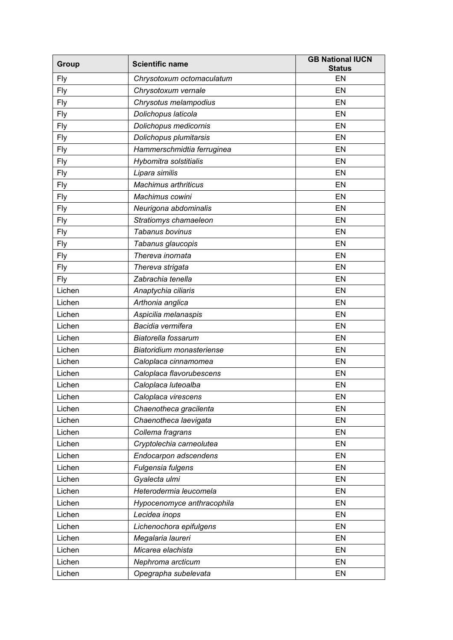| Group      | <b>Scientific name</b>      | <b>GB National IUCN</b><br><b>Status</b> |
|------------|-----------------------------|------------------------------------------|
| <b>Fly</b> | Chrysotoxum octomaculatum   | EN                                       |
| <b>Fly</b> | Chrysotoxum vernale         | EN                                       |
| <b>Fly</b> | Chrysotus melampodius       | EN                                       |
| <b>Fly</b> | Dolichopus laticola         | EN                                       |
| <b>Fly</b> | Dolichopus medicornis       | EN                                       |
| <b>Fly</b> | Dolichopus plumitarsis      | EN                                       |
| <b>Fly</b> | Hammerschmidtia ferruginea  | EN                                       |
| <b>Fly</b> | Hybomitra solstitialis      | EN                                       |
| <b>Fly</b> | Lipara similis              | EN                                       |
| <b>Fly</b> | <b>Machimus arthriticus</b> | EN                                       |
| <b>Fly</b> | Machimus cowini             | EN                                       |
| <b>Fly</b> | Neurigona abdominalis       | EN                                       |
| <b>Fly</b> | Stratiomys chamaeleon       | EN                                       |
| <b>Fly</b> | Tabanus bovinus             | EN                                       |
| <b>Fly</b> | Tabanus glaucopis           | EN                                       |
| <b>Fly</b> | Thereva inornata            | EN                                       |
| <b>Fly</b> | Thereva strigata            | EN                                       |
| <b>Fly</b> | Zabrachia tenella           | EN                                       |
| Lichen     | Anaptychia ciliaris         | EN                                       |
| Lichen     | Arthonia anglica            | EN                                       |
| Lichen     | Aspicilia melanaspis        | EN                                       |
| Lichen     | Bacidia vermifera           | EN                                       |
| Lichen     | Biatorella fossarum         | EN                                       |
| Lichen     | Biatoridium monasteriense   | EN                                       |
| Lichen     | Caloplaca cinnamomea        | EN                                       |
| Lichen     | Caloplaca flavorubescens    | EN                                       |
| Lichen     | Caloplaca luteoalba         | EN                                       |
| Lichen     | Caloplaca virescens         | EN                                       |
| Lichen     | Chaenotheca gracilenta      | EN                                       |
| Lichen     | Chaenotheca laevigata       | EN                                       |
| Lichen     | Collema fragrans            | EN                                       |
| Lichen     | Cryptolechia carneolutea    | EN                                       |
| Lichen     | Endocarpon adscendens       | EN                                       |
| Lichen     | Fulgensia fulgens           | EN                                       |
| Lichen     | Gyalecta ulmi               | EN                                       |
| Lichen     | Heterodermia leucomela      | EN                                       |
| Lichen     | Hypocenomyce anthracophila  | EN                                       |
| Lichen     | Lecidea inops               | EN                                       |
| Lichen     | Lichenochora epifulgens     | EN                                       |
| Lichen     | Megalaria laureri           | EN                                       |
| Lichen     | Micarea elachista           | EN                                       |
| Lichen     | Nephroma arcticum           | EN                                       |
| Lichen     | Opegrapha subelevata        | EN                                       |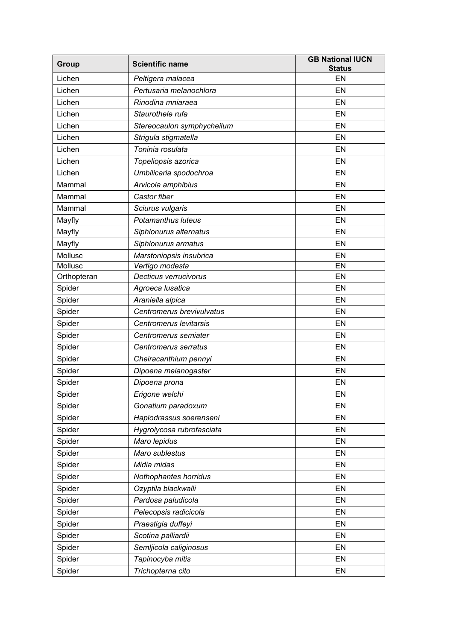| Group       | <b>Scientific name</b>     | <b>GB National IUCN</b><br><b>Status</b> |
|-------------|----------------------------|------------------------------------------|
| Lichen      | Peltigera malacea          | EN                                       |
| Lichen      | Pertusaria melanochlora    | <b>EN</b>                                |
| Lichen      | Rinodina mniaraea          | EN                                       |
| Lichen      | Staurothele rufa           | EN                                       |
| Lichen      | Stereocaulon symphycheilum | EN                                       |
| Lichen      | Strigula stigmatella       | EN                                       |
| Lichen      | Toninia rosulata           | EN                                       |
| Lichen      | Topeliopsis azorica        | EN                                       |
| Lichen      | Umbilicaria spodochroa     | EN                                       |
| Mammal      | Arvicola amphibius         | EN                                       |
| Mammal      | Castor fiber               | EN                                       |
| Mammal      | Sciurus vulgaris           | EN                                       |
| Mayfly      | Potamanthus luteus         | EN                                       |
| Mayfly      | Siphlonurus alternatus     | EN                                       |
| Mayfly      | Siphlonurus armatus        | EN                                       |
| Mollusc     | Marstoniopsis insubrica    | EN                                       |
| Mollusc     | Vertigo modesta            | EN                                       |
| Orthopteran | Decticus verrucivorus      | EN                                       |
| Spider      | Agroeca Iusatica           | EN                                       |
| Spider      | Araniella alpica           | EN                                       |
| Spider      | Centromerus brevivulvatus  | EN                                       |
| Spider      | Centromerus levitarsis     | EN                                       |
| Spider      | Centromerus semiater       | EN                                       |
| Spider      | Centromerus serratus       | EN                                       |
| Spider      | Cheiracanthium pennyi      | EN                                       |
| Spider      | Dipoena melanogaster       | EN                                       |
| Spider      | Dipoena prona              | EN                                       |
| Spider      | Erigone welchi             | EN                                       |
| Spider      | Gonatium paradoxum         | EN                                       |
| Spider      | Haplodrassus soerenseni    | EN                                       |
| Spider      | Hygrolycosa rubrofasciata  | EN                                       |
| Spider      | Maro lepidus               | EN                                       |
| Spider      | Maro sublestus             | EN                                       |
| Spider      | Midia midas                | EN                                       |
| Spider      | Nothophantes horridus      | EN                                       |
| Spider      | Ozyptila blackwalli        | EN                                       |
| Spider      | Pardosa paludicola         | EN                                       |
| Spider      | Pelecopsis radicicola      | EN                                       |
| Spider      | Praestigia duffeyi         | EN                                       |
| Spider      | Scotina palliardii         | EN                                       |
| Spider      | Semljicola caliginosus     | EN                                       |
| Spider      | Tapinocyba mitis           | EN                                       |
| Spider      | Trichopterna cito          | EN                                       |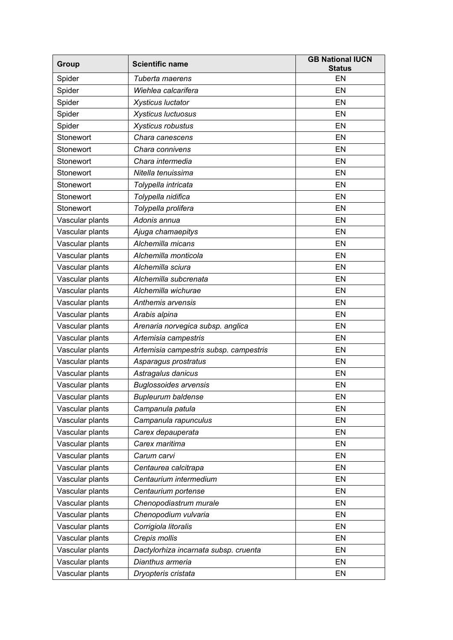| Group           | <b>Scientific name</b>                 | <b>GB National IUCN</b><br><b>Status</b> |
|-----------------|----------------------------------------|------------------------------------------|
| Spider          | Tuberta maerens                        | EN                                       |
| Spider          | Wiehlea calcarifera                    | EN                                       |
| Spider          | <b>Xysticus luctator</b>               | EN                                       |
| Spider          | Xysticus luctuosus                     | EN                                       |
| Spider          | Xysticus robustus                      | EN                                       |
| Stonewort       | Chara canescens                        | EN                                       |
| Stonewort       | Chara connivens                        | EN                                       |
| Stonewort       | Chara intermedia                       | EN                                       |
| Stonewort       | Nitella tenuissima                     | EN                                       |
| Stonewort       | Tolypella intricata                    | EN                                       |
| Stonewort       | Tolypella nidifica                     | EN                                       |
| Stonewort       | Tolypella prolifera                    | EN                                       |
| Vascular plants | Adonis annua                           | EN                                       |
| Vascular plants | Ajuga chamaepitys                      | EN                                       |
| Vascular plants | Alchemilla micans                      | EN                                       |
| Vascular plants | Alchemilla monticola                   | EN                                       |
| Vascular plants | Alchemilla sciura                      | EN                                       |
| Vascular plants | Alchemilla subcrenata                  | EN                                       |
| Vascular plants | Alchemilla wichurae                    | EN                                       |
| Vascular plants | Anthemis arvensis                      | EN                                       |
| Vascular plants | Arabis alpina                          | EN                                       |
| Vascular plants | Arenaria norvegica subsp. anglica      | EN                                       |
| Vascular plants | Artemisia campestris                   | EN                                       |
| Vascular plants | Artemisia campestris subsp. campestris | EN                                       |
| Vascular plants | Asparagus prostratus                   | EN                                       |
| Vascular plants | Astragalus danicus                     | EN                                       |
| Vascular plants | <b>Buglossoides arvensis</b>           | EN                                       |
| Vascular plants | <b>Bupleurum baldense</b>              | EN                                       |
| Vascular plants | Campanula patula                       | EN                                       |
| Vascular plants | Campanula rapunculus                   | EN                                       |
| Vascular plants | Carex depauperata                      | EN                                       |
| Vascular plants | Carex maritima                         | EN                                       |
| Vascular plants | Carum carvi                            | EN                                       |
| Vascular plants | Centaurea calcitrapa                   | EN                                       |
| Vascular plants | Centaurium intermedium                 | EN                                       |
| Vascular plants | Centaurium portense                    | EN                                       |
| Vascular plants | Chenopodiastrum murale                 | EN                                       |
| Vascular plants | Chenopodium vulvaria                   | EN                                       |
| Vascular plants | Corrigiola litoralis                   | EN                                       |
| Vascular plants | Crepis mollis                          | EN                                       |
| Vascular plants | Dactylorhiza incarnata subsp. cruenta  | EN                                       |
| Vascular plants | Dianthus armeria                       | EN                                       |
| Vascular plants | Dryopteris cristata                    | EN                                       |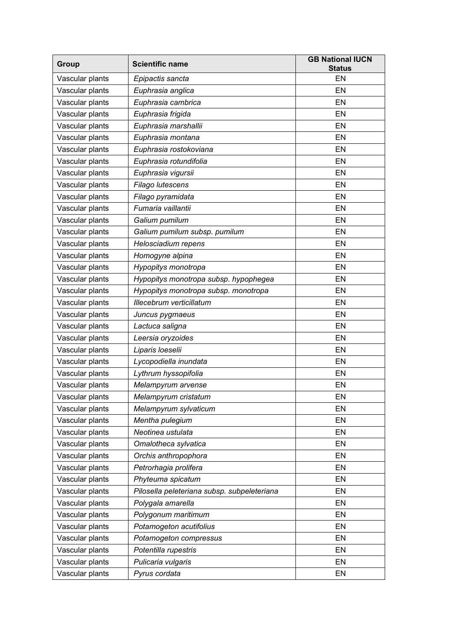| Group           | <b>Scientific name</b>                      | <b>GB National IUCN</b><br><b>Status</b> |
|-----------------|---------------------------------------------|------------------------------------------|
| Vascular plants | Epipactis sancta                            | EN                                       |
| Vascular plants | Euphrasia anglica                           | EN                                       |
| Vascular plants | Euphrasia cambrica                          | EN                                       |
| Vascular plants | Euphrasia frigida                           | EN                                       |
| Vascular plants | Euphrasia marshallii                        | EN                                       |
| Vascular plants | Euphrasia montana                           | EN                                       |
| Vascular plants | Euphrasia rostokoviana                      | EN                                       |
| Vascular plants | Euphrasia rotundifolia                      | EN                                       |
| Vascular plants | Euphrasia vigursii                          | EN                                       |
| Vascular plants | Filago lutescens                            | EN                                       |
| Vascular plants | Filago pyramidata                           | EN                                       |
| Vascular plants | Fumaria vaillantii                          | EN                                       |
| Vascular plants | Galium pumilum                              | EN                                       |
| Vascular plants | Galium pumilum subsp. pumilum               | EN                                       |
| Vascular plants | Helosciadium repens                         | EN                                       |
| Vascular plants | Homogyne alpina                             | EN                                       |
| Vascular plants | Hypopitys monotropa                         | EN                                       |
| Vascular plants | Hypopitys monotropa subsp. hypophegea       | EN                                       |
| Vascular plants | Hypopitys monotropa subsp. monotropa        | EN                                       |
| Vascular plants | Illecebrum verticillatum                    | EN                                       |
| Vascular plants | Juncus pygmaeus                             | EN                                       |
| Vascular plants | Lactuca saligna                             | EN                                       |
| Vascular plants | Leersia oryzoides                           | EN                                       |
| Vascular plants | Liparis loeselii                            | EN                                       |
| Vascular plants | Lycopodiella inundata                       | EN                                       |
| Vascular plants | Lythrum hyssopifolia                        | EN                                       |
| Vascular plants | Melampyrum arvense                          | EN                                       |
| Vascular plants | Melampyrum cristatum                        | EN                                       |
| Vascular plants | Melampyrum sylvaticum                       | EN                                       |
| Vascular plants | Mentha pulegium                             | EN                                       |
| Vascular plants | Neotinea ustulata                           | EN                                       |
| Vascular plants | Omalotheca sylvatica                        | EN                                       |
| Vascular plants | Orchis anthropophora                        | EN                                       |
| Vascular plants | Petrorhagia prolifera                       | EN                                       |
| Vascular plants | Phyteuma spicatum                           | EN                                       |
| Vascular plants | Pilosella peleteriana subsp. subpeleteriana | EN                                       |
| Vascular plants | Polygala amarella                           | EN                                       |
| Vascular plants | Polygonum maritimum                         | EN                                       |
| Vascular plants | Potamogeton acutifolius                     | EN                                       |
| Vascular plants | Potamogeton compressus                      | EN                                       |
| Vascular plants | Potentilla rupestris                        | EN                                       |
| Vascular plants | Pulicaria vulgaris                          | EN                                       |
| Vascular plants | Pyrus cordata                               | EN                                       |